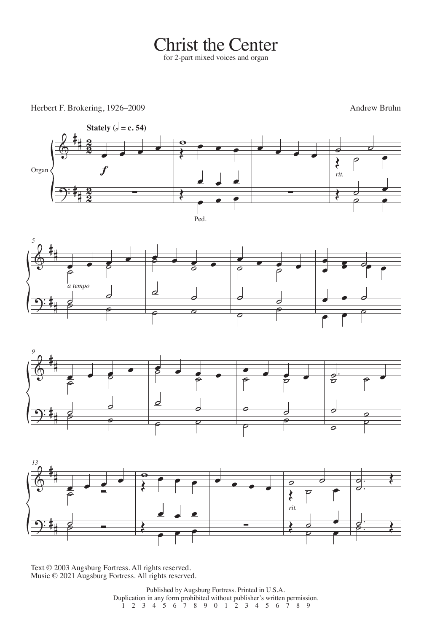## Christ the Center

Herbert F. Brokering, 1926–2009 Andrew Bruhn









Text © 2003 Augsburg Fortress. All rights reserved. Music © 2021 Augsburg Fortress. All rights reserved.

> Published by Augsburg Fortress. Printed in U.S.A. Duplication in any form prohibited without publisher's written permission. 1 2 3 4 5 6 7 8 9 0 1 2 3 4 5 6 7 8 9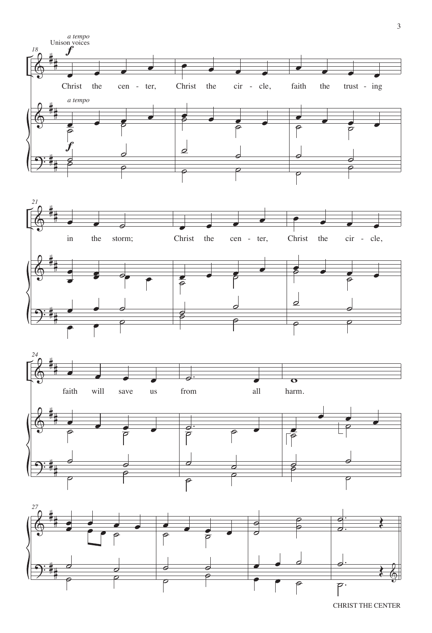







CHRIST THE CENTER